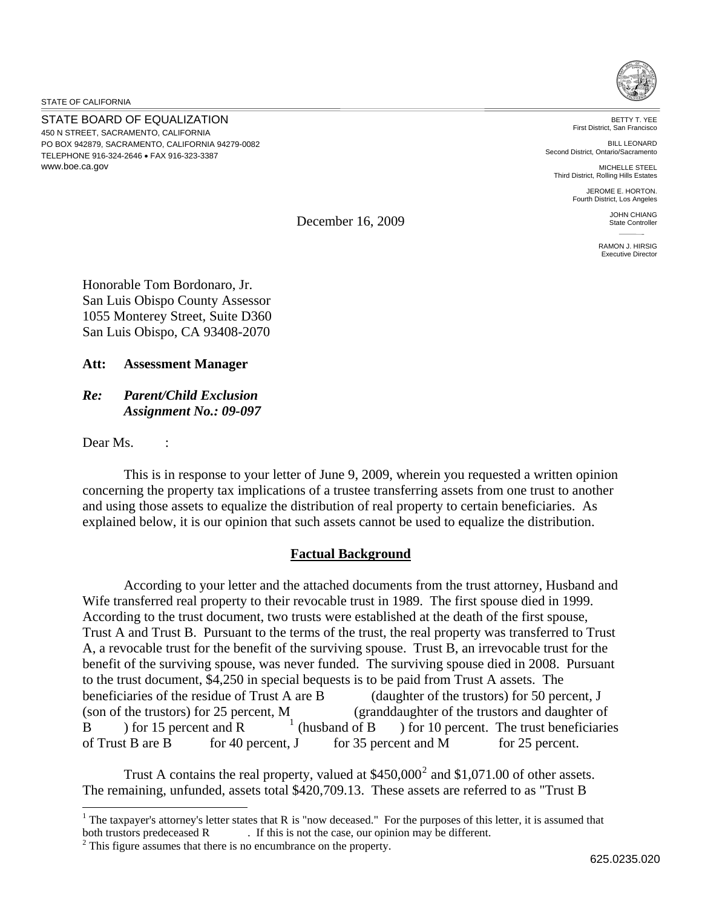STATE OF CALIFORNIA

STATE BOARD OF EQUALIZATION 450 N STREET, SACRAMENTO, CALIFORNIA PO BOX 942879, SACRAMENTO, CALIFORNIA 94279-0082 TELEPHONE 916-324-2646 FAX 916-323-3387 www.boe.ca.gov



BETTY T. YEE First District, San Francisco

BILL LEONARD Second District, Ontario/Sacramento

MICHELLE STEEL Third District, Rolling Hills Estates

> JEROME E. HORTON. Fourth District, Los Angeles

> > JOHN CHIANG State Controller

RAMON J. HIRSIG Executive Director

December 16, 2009

Honorable Tom Bordonaro, Jr. San Luis Obispo County Assessor 1055 Monterey Street, Suite D360 San Luis Obispo, CA 93408-2070

**Att: Assessment Manager** 

*Re: Parent/Child Exclusion Assignment No.: 09-097* 

Dear Ms. :

 $\overline{a}$ 

 This is in response to your letter of June 9, 2009, wherein you requested a written opinion concerning the property tax implications of a trustee transferring assets from one trust to another and using those assets to equalize the distribution of real property to certain beneficiaries. As explained below, it is our opinion that such assets cannot be used to equalize the distribution.

## **Factual Background**

 According to your letter and the attached documents from the trust attorney, Husband and Wife transferred real property to their revocable trust in 1989. The first spouse died in 1999. According to the trust document, two trusts were established at the death of the first spouse, Trust A and Trust B. Pursuant to the terms of the trust, the real property was transferred to Trust A, a revocable trust for the benefit of the surviving spouse. Trust B, an irrevocable trust for the benefit of the surviving spouse, was never funded. The surviving spouse died in 2008. Pursuant to the trust document, \$4,250 in special bequests is to be paid from Trust A assets. The beneficiaries of the residue of Trust A are B (daughter of the trustors) for 50 percent, J (son of the trustors) for 25 percent, M (granddaughter of the trustors and daughter of B ) for 15 percent and R  $\frac{1}{1}$  (husband of B ) for  $10$  percent. The trust beneficiaries of Trust B are B for 40 percent, J for 35 percent and M for 25 percent.

Trust A contains the real property, valued at  $$450,000^2$  $$450,000^2$  and  $$1,071.00$  of other assets. The remaining, unfunded, assets total \$420,709.13. These assets are referred to as "Trust B

<sup>&</sup>lt;sup>1</sup> The taxpayer's attorney's letter states that R is "now deceased." For the purposes of this letter, it is assumed that both trustors predeceased  $R$  . If this is not the case, our opinion may be different.

<span id="page-0-0"></span> $\frac{2}{3}$  This figure assumes that there is no encumbrance on the property.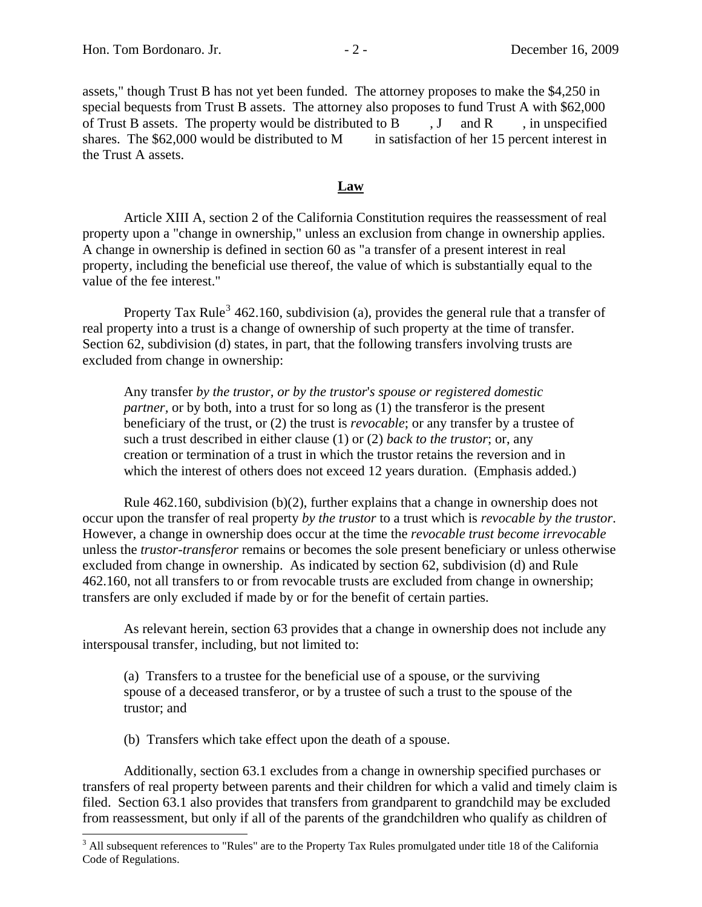assets," though Trust B has not yet been funded. The attorney proposes to make the \$4,250 in special bequests from Trust B assets. The attorney also proposes to fund Trust A with \$62,000 of Trust B assets. The property would be distributed to B  $, J$  and R , in unspecified shares. The  $$62,000$  would be distributed to M in satisfaction of her 15 percent interest in the Trust A assets.

## **Law**

Article XIII A, section 2 of the California Constitution requires the reassessment of real property upon a "change in ownership," unless an exclusion from change in ownership applies. A change in ownership is defined in section 60 as "a transfer of a present interest in real property, including the beneficial use thereof, the value of which is substantially equal to the value of the fee interest."

Property Tax Rule<sup>[3](#page-1-0)</sup> 462.160, subdivision (a), provides the general rule that a transfer of real property into a trust is a change of ownership of such property at the time of transfer. Section 62, subdivision (d) states, in part, that the following transfers involving trusts are excluded from change in ownership:

Any transfer *by the trustor, or by the trustor*'*s spouse or registered domestic partner,* or by both, into a trust for so long as (1) the transferor is the present beneficiary of the trust, or (2) the trust is *revocable*; or any transfer by a trustee of such a trust described in either clause (1) or (2) *back to the trustor*; or, any creation or termination of a trust in which the trustor retains the reversion and in which the interest of others does not exceed 12 years duration. (Emphasis added.)

 Rule 462.160, subdivision (b)(2), further explains that a change in ownership does not occur upon the transfer of real property *by the trustor* to a trust which is *revocable by the trustor*. However, a change in ownership does occur at the time the *revocable trust become irrevocable*  unless the *trustor-transferor* remains or becomes the sole present beneficiary or unless otherwise excluded from change in ownership. As indicated by section 62, subdivision (d) and Rule 462.160, not all transfers to or from revocable trusts are excluded from change in ownership; transfers are only excluded if made by or for the benefit of certain parties.

 As relevant herein, section 63 provides that a change in ownership does not include any interspousal transfer, including, but not limited to:

(a) Transfers to a trustee for the beneficial use of a spouse, or the surviving spouse of a deceased transferor, or by a trustee of such a trust to the spouse of the trustor; and

(b) Transfers which take effect upon the death of a spouse.

 $\overline{a}$ 

Additionally, section 63.1 excludes from a change in ownership specified purchases or transfers of real property between parents and their children for which a valid and timely claim is filed. Section 63.1 also provides that transfers from grandparent to grandchild may be excluded from reassessment, but only if all of the parents of the grandchildren who qualify as children of

<span id="page-1-0"></span> $3$  All subsequent references to "Rules" are to the Property Tax Rules promulgated under title 18 of the California Code of Regulations.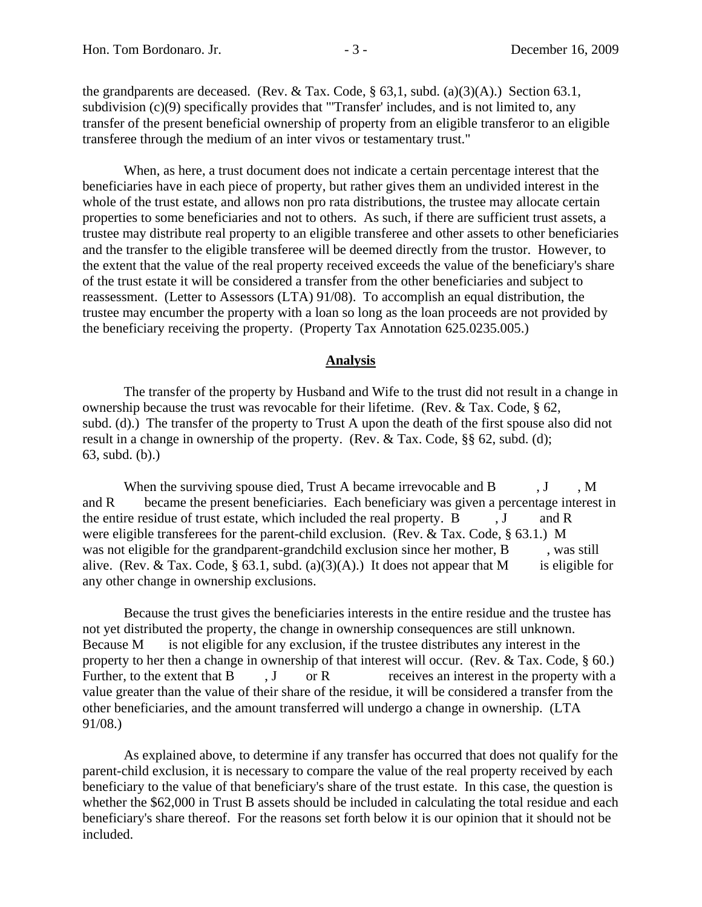the grandparents are deceased. (Rev. & Tax. Code,  $\S$  63,1, subd. (a)(3)(A).) Section 63.1, subdivision (c)(9) specifically provides that "Transfer' includes, and is not limited to, any transfer of the present beneficial ownership of property from an eligible transferor to an eligible transferee through the medium of an inter vivos or testamentary trust."

 When, as here, a trust document does not indicate a certain percentage interest that the beneficiaries have in each piece of property, but rather gives them an undivided interest in the whole of the trust estate, and allows non pro rata distributions, the trustee may allocate certain properties to some beneficiaries and not to others. As such, if there are sufficient trust assets, a trustee may distribute real property to an eligible transferee and other assets to other beneficiaries and the transfer to the eligible transferee will be deemed directly from the trustor. However, to the extent that the value of the real property received exceeds the value of the beneficiary's share of the trust estate it will be considered a transfer from the other beneficiaries and subject to reassessment. (Letter to Assessors (LTA) 91/08). To accomplish an equal distribution, the trustee may encumber the property with a loan so long as the loan proceeds are not provided by the beneficiary receiving the property. (Property Tax Annotation 625.0235.005.)

## **Analysis**

The transfer of the property by Husband and Wife to the trust did not result in a change in ownership because the trust was revocable for their lifetime. (Rev. & Tax. Code, § 62, subd. (d).) The transfer of the property to Trust A upon the death of the first spouse also did not result in a change in ownership of the property. (Rev. & Tax. Code, §§ 62, subd. (d); 63, subd. (b).)

When the surviving spouse died, Trust A became irrevocable and  $B$ ,  $J$ , M and R became the present beneficiaries. Each beneficiary was given a percentage interest in the entire residue of trust estate, which included the real property.  $B$ ,  $J$  and  $R$ were eligible transferees for the parent-child exclusion. (Rev. & Tax. Code, § 63.1.) M was not eligible for the grandparent-grandchild exclusion since her mother, B , was still alive. (Rev. & Tax. Code, § 63.1, subd. (a)(3)(A).) It does not appear that M is eligible for any other change in ownership exclusions.

 Because the trust gives the beneficiaries interests in the entire residue and the trustee has not yet distributed the property, the change in ownership consequences are still unknown. Because M is not eligible for any exclusion, if the trustee distributes any interest in the property to her then a change in ownership of that interest will occur. (Rev. & Tax. Code, § 60.) Further, to the extent that  $B$ ,  $J$  or  $R$  receives an interest in the property with a value greater than the value of their share of the residue, it will be considered a transfer from the other beneficiaries, and the amount transferred will undergo a change in ownership. (LTA 91/08.)

 As explained above, to determine if any transfer has occurred that does not qualify for the parent-child exclusion, it is necessary to compare the value of the real property received by each beneficiary to the value of that beneficiary's share of the trust estate. In this case, the question is whether the \$62,000 in Trust B assets should be included in calculating the total residue and each beneficiary's share thereof. For the reasons set forth below it is our opinion that it should not be included.